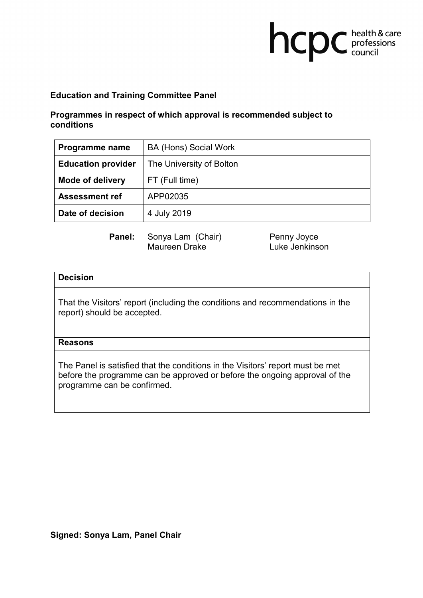# **Programmes in respect of which approval is recommended subject to conditions**

| Programme name            | BA (Hons) Social Work    |
|---------------------------|--------------------------|
| <b>Education provider</b> | The University of Bolton |
| <b>Mode of delivery</b>   | FT (Full time)           |
| <b>Assessment ref</b>     | APP02035                 |
| Date of decision          | 4 July 2019              |

**Panel:** Sonya Lam (Chair) Penny Joyce<br>Maureen Drake Luke Jenkins Luke Jenkinson

**health & care** 

## **Decision**

That the Visitors' report (including the conditions and recommendations in the report) should be accepted.

#### **Reasons**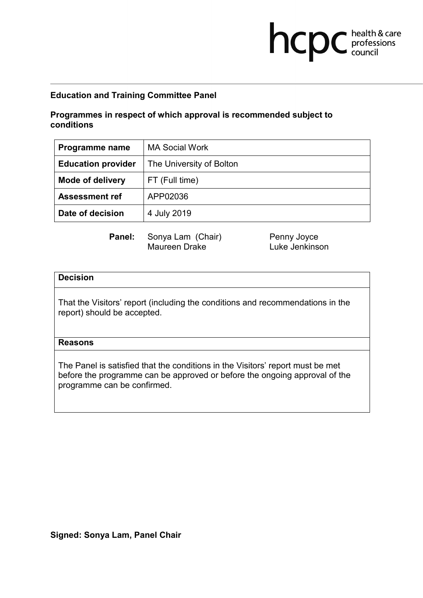# **Programmes in respect of which approval is recommended subject to conditions**

| Programme name            | <b>MA Social Work</b>    |
|---------------------------|--------------------------|
| <b>Education provider</b> | The University of Bolton |
| <b>Mode of delivery</b>   | FT (Full time)           |
| <b>Assessment ref</b>     | APP02036                 |
| Date of decision          | 4 July 2019              |

**Panel:** Sonya Lam (Chair) Penny Joyce<br>Maureen Drake Luke Jenkins Luke Jenkinson

**health & care** 

## **Decision**

That the Visitors' report (including the conditions and recommendations in the report) should be accepted.

## **Reasons**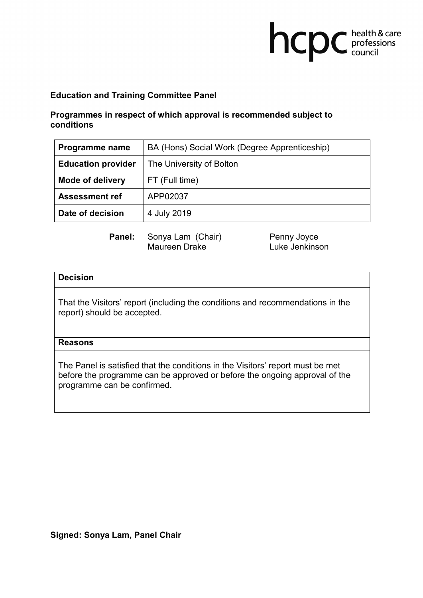# **Programmes in respect of which approval is recommended subject to conditions**

| Programme name            | BA (Hons) Social Work (Degree Apprenticeship) |
|---------------------------|-----------------------------------------------|
| <b>Education provider</b> | The University of Bolton                      |
| <b>Mode of delivery</b>   | FT (Full time)                                |
| <b>Assessment ref</b>     | APP02037                                      |
| Date of decision          | 4 July 2019                                   |

**Panel:** Sonya Lam (Chair) Penny Joyce<br>Maureen Drake Luke Jenkins Luke Jenkinson

**health & care** 

## **Decision**

That the Visitors' report (including the conditions and recommendations in the report) should be accepted.

#### **Reasons**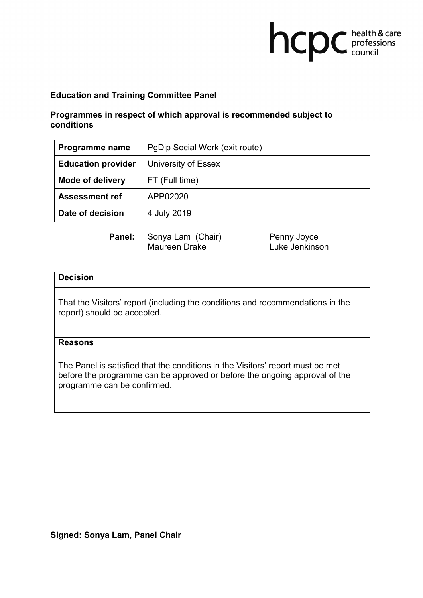# **Programmes in respect of which approval is recommended subject to conditions**

| Programme name            | PgDip Social Work (exit route) |
|---------------------------|--------------------------------|
| <b>Education provider</b> | University of Essex            |
| <b>Mode of delivery</b>   | FT (Full time)                 |
| <b>Assessment ref</b>     | APP02020                       |
| Date of decision          | 4 July 2019                    |

**Panel:** Sonya Lam (Chair) Penny Joyce<br>Maureen Drake Luke Jenkins Luke Jenkinson

**health & care** 

## **Decision**

That the Visitors' report (including the conditions and recommendations in the report) should be accepted.

#### **Reasons**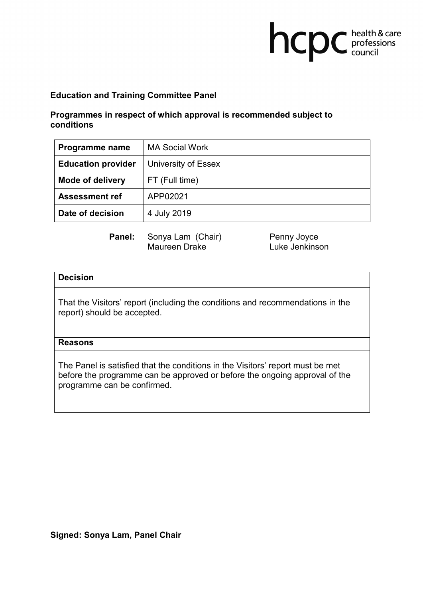# **Programmes in respect of which approval is recommended subject to conditions**

| Programme name            | <b>MA Social Work</b> |
|---------------------------|-----------------------|
| <b>Education provider</b> | University of Essex   |
| <b>Mode of delivery</b>   | FT (Full time)        |
| <b>Assessment ref</b>     | APP02021              |
| Date of decision          | 4 July 2019           |

**Panel:** Sonya Lam (Chair) Penny Joyce<br>Maureen Drake Luke Jenkins Luke Jenkinson

**health & care** 

## **Decision**

That the Visitors' report (including the conditions and recommendations in the report) should be accepted.

#### **Reasons**

The Panel is satisfied that the conditions in the Visitors' report must be met before the programme can be approved or before the ongoing approval of the programme can be confirmed.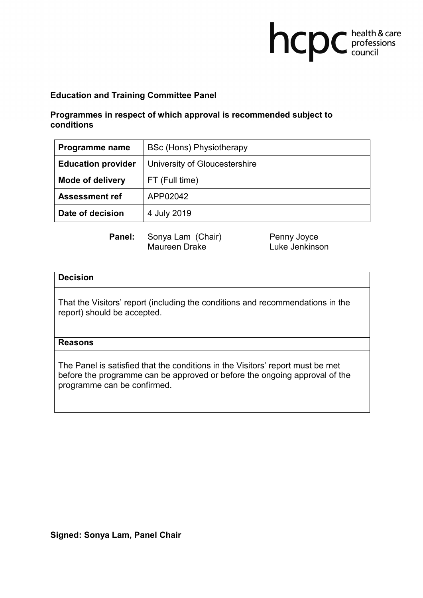# **Programmes in respect of which approval is recommended subject to conditions**

| Programme name            | BSc (Hons) Physiotherapy      |
|---------------------------|-------------------------------|
| <b>Education provider</b> | University of Gloucestershire |
| <b>Mode of delivery</b>   | FT (Full time)                |
| <b>Assessment ref</b>     | APP02042                      |
| Date of decision          | 4 July 2019                   |

**Panel:** Sonya Lam (Chair) Penny Joyce<br>Maureen Drake Luke Jenkins

Luke Jenkinson

**health & care** 

## **Decision**

That the Visitors' report (including the conditions and recommendations in the report) should be accepted.

#### **Reasons**

The Panel is satisfied that the conditions in the Visitors' report must be met before the programme can be approved or before the ongoing approval of the programme can be confirmed.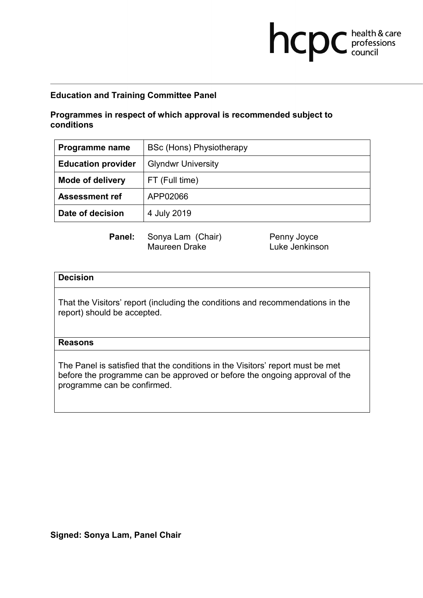# **Programmes in respect of which approval is recommended subject to conditions**

| Programme name            | BSc (Hons) Physiotherapy  |
|---------------------------|---------------------------|
| <b>Education provider</b> | <b>Glyndwr University</b> |
| <b>Mode of delivery</b>   | FT (Full time)            |
| <b>Assessment ref</b>     | APP02066                  |
| Date of decision          | 4 July 2019               |

**Panel:** Sonya Lam (Chair) Penny Joyce<br>Maureen Drake Luke Jenkins Luke Jenkinson

**health & care** 

## **Decision**

That the Visitors' report (including the conditions and recommendations in the report) should be accepted.

#### **Reasons**

The Panel is satisfied that the conditions in the Visitors' report must be met before the programme can be approved or before the ongoing approval of the programme can be confirmed.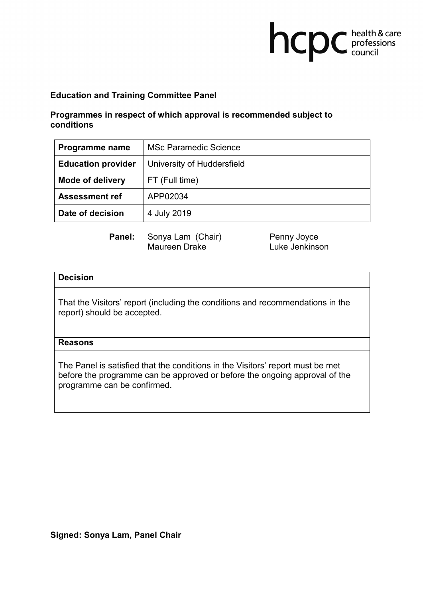# **Programmes in respect of which approval is recommended subject to conditions**

| Programme name            | <b>MSc Paramedic Science</b> |
|---------------------------|------------------------------|
| <b>Education provider</b> | University of Huddersfield   |
| <b>Mode of delivery</b>   | FT (Full time)               |
| <b>Assessment ref</b>     | APP02034                     |
| Date of decision          | 4 July 2019                  |

**Panel:** Sonya Lam (Chair) Penny Joyce<br>Maureen Drake Luke Jenkins Luke Jenkinson

**health & care** 

## **Decision**

That the Visitors' report (including the conditions and recommendations in the report) should be accepted.

#### **Reasons**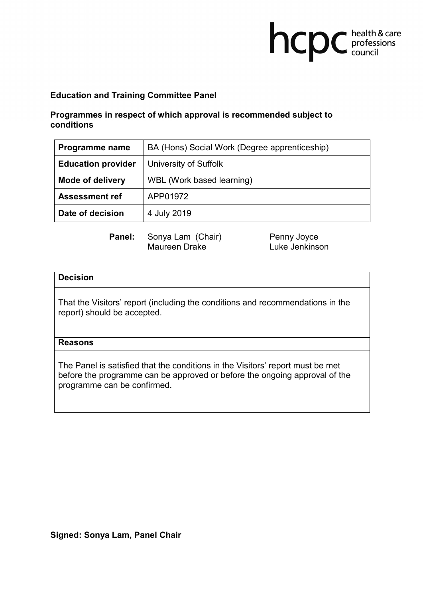# **health & care**

# **Education and Training Committee Panel**

# **Programmes in respect of which approval is recommended subject to conditions**

| Programme name            | BA (Hons) Social Work (Degree apprenticeship) |
|---------------------------|-----------------------------------------------|
| <b>Education provider</b> | University of Suffolk                         |
| <b>Mode of delivery</b>   | WBL (Work based learning)                     |
| <b>Assessment ref</b>     | APP01972                                      |
| Date of decision          | 4 July 2019                                   |

**Panel:** Sonya Lam (Chair) Penny Joyce<br>Maureen Drake Luke Jenkins

Luke Jenkinson

## **Decision**

That the Visitors' report (including the conditions and recommendations in the report) should be accepted.

## **Reasons**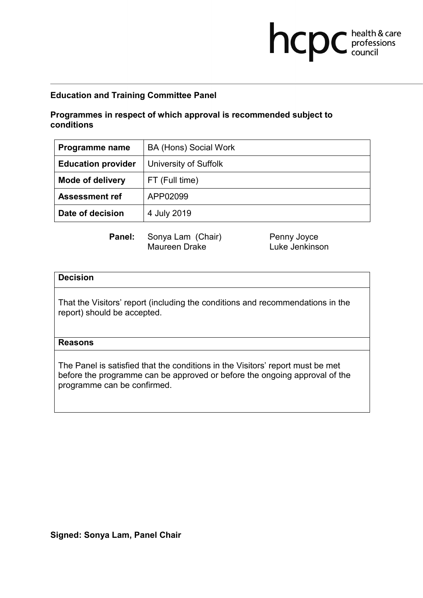# **Programmes in respect of which approval is recommended subject to conditions**

| Programme name            | BA (Hons) Social Work |
|---------------------------|-----------------------|
| <b>Education provider</b> | University of Suffolk |
| Mode of delivery          | FT (Full time)        |
| <b>Assessment ref</b>     | APP02099              |
| Date of decision          | 4 July 2019           |

**Panel:** Sonya Lam (Chair) Penny Joyce<br>Maureen Drake Luke Jenkins Luke Jenkinson

**health & care** 

## **Decision**

That the Visitors' report (including the conditions and recommendations in the report) should be accepted.

#### **Reasons**

The Panel is satisfied that the conditions in the Visitors' report must be met before the programme can be approved or before the ongoing approval of the programme can be confirmed.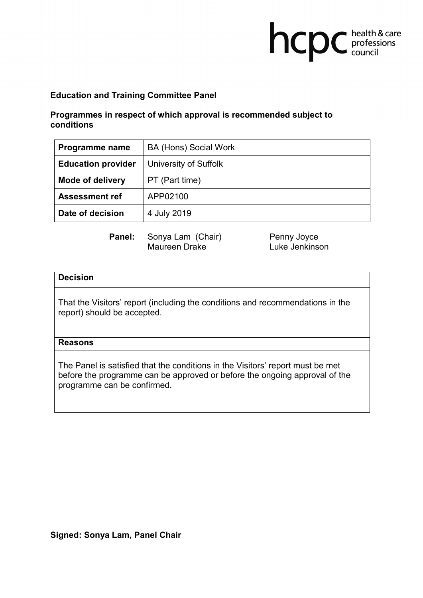# **Programmes in respect of which approval is recommended subject to conditions**

| Programme name            | <b>BA (Hons) Social Work</b> |
|---------------------------|------------------------------|
| <b>Education provider</b> | University of Suffolk        |
| <b>Mode of delivery</b>   | PT (Part time)               |
| <b>Assessment ref</b>     | APP02100                     |
| Date of decision          | 4 July 2019                  |

**Panel:** Sonya Lam (Chair) Penny Joyce<br>Maureen Drake Luke Jenkins Luke Jenkinson

**health & care** 

## **Decision**

That the Visitors' report (including the conditions and recommendations in the report) should be accepted.

#### **Reasons**

The Panel is satisfied that the conditions in the Visitors' report must be met before the programme can be approved or before the ongoing approval of the programme can be confirmed.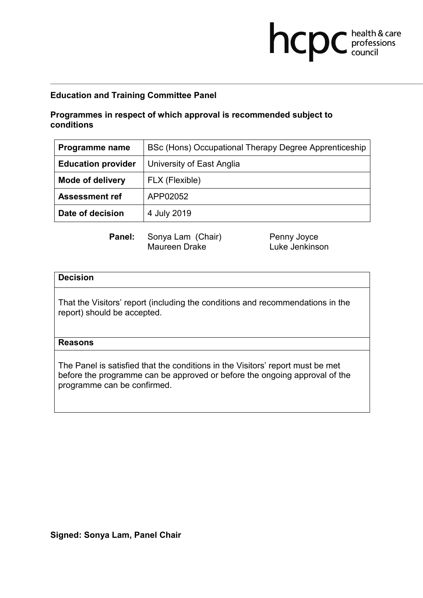# **Programmes in respect of which approval is recommended subject to conditions**

| Programme name            | BSc (Hons) Occupational Therapy Degree Apprenticeship |
|---------------------------|-------------------------------------------------------|
| <b>Education provider</b> | University of East Anglia                             |
| <b>Mode of delivery</b>   | FLX (Flexible)                                        |
| <b>Assessment ref</b>     | APP02052                                              |
| Date of decision          | 4 July 2019                                           |

**Panel:** Sonya Lam (Chair) Penny Joyce<br>Maureen Drake Luke Jenkins

Luke Jenkinson

**health & care** 

## **Decision**

That the Visitors' report (including the conditions and recommendations in the report) should be accepted.

#### **Reasons**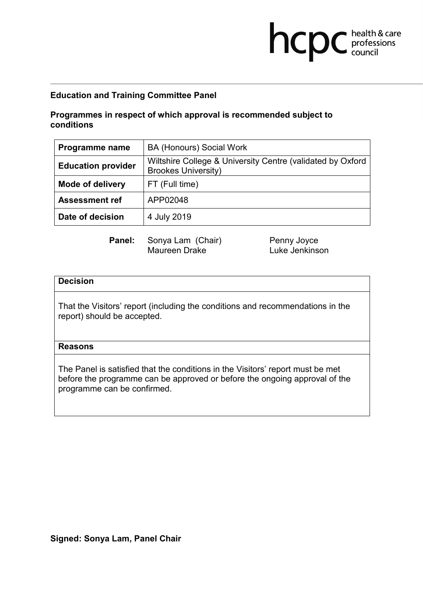# **Programmes in respect of which approval is recommended subject to conditions**

| Programme name            | <b>BA (Honours) Social Work</b>                                                          |
|---------------------------|------------------------------------------------------------------------------------------|
| <b>Education provider</b> | Wiltshire College & University Centre (validated by Oxford<br><b>Brookes University)</b> |
| Mode of delivery          | FT (Full time)                                                                           |
| <b>Assessment ref</b>     | APP02048                                                                                 |
| Date of decision          | 4 July 2019                                                                              |

**Panel:** Sonya Lam (Chair) Penny Joyce<br>Maureen Drake **Prace Luke Jenkins** 

Luke Jenkinson

**health & care** 

## **Decision**

That the Visitors' report (including the conditions and recommendations in the report) should be accepted.

#### **Reasons**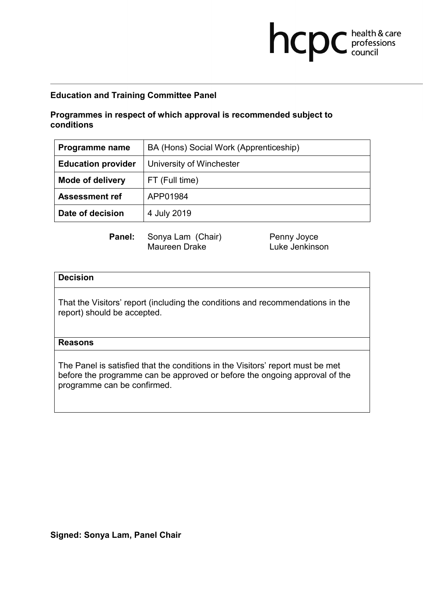# **Programmes in respect of which approval is recommended subject to conditions**

| Programme name            | BA (Hons) Social Work (Apprenticeship) |
|---------------------------|----------------------------------------|
| <b>Education provider</b> | University of Winchester               |
| <b>Mode of delivery</b>   | FT (Full time)                         |
| <b>Assessment ref</b>     | APP01984                               |
| Date of decision          | 4 July 2019                            |

**Panel:** Sonya Lam (Chair) Penny Joyce<br>Maureen Drake Luke Jenkins Luke Jenkinson

**health & care** 

## **Decision**

That the Visitors' report (including the conditions and recommendations in the report) should be accepted.

#### **Reasons**